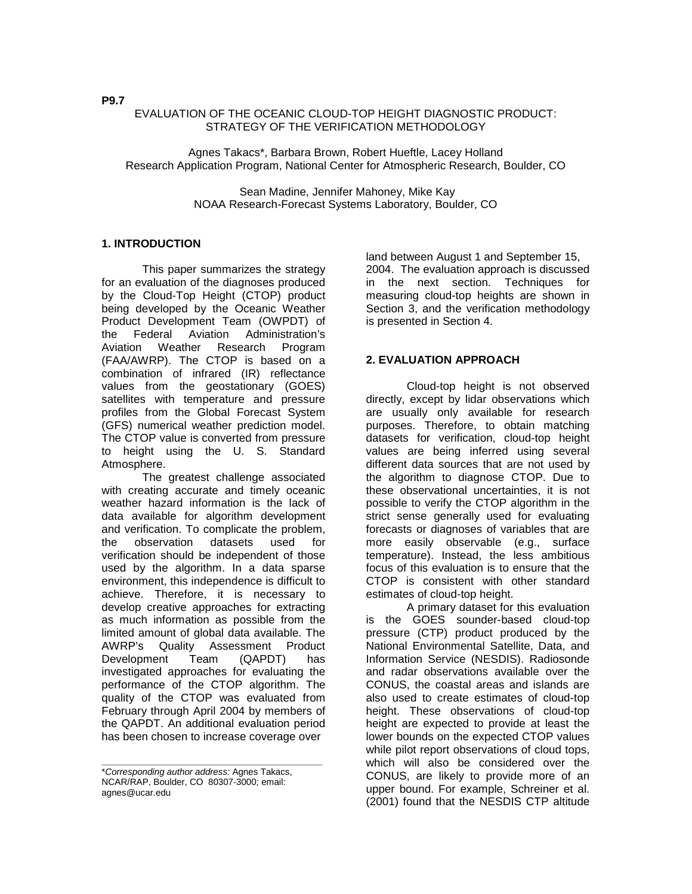## EVALUATION OF THE OCEANIC CLOUD-TOP HEIGHT DIAGNOSTIC PRODUCT: STRATEGY OF THE VERIFICATION METHODOLOGY

Agnes Takacs\*, Barbara Brown, Robert Hueftle, Lacey Holland Research Application Program, National Center for Atmospheric Research, Boulder, CO

> Sean Madine, Jennifer Mahoney, Mike Kay NOAA Research-Forecast Systems Laboratory, Boulder, CO

### **1. INTRODUCTION**

 This paper summarizes the strategy for an evaluation of the diagnoses produced by the Cloud-Top Height (CTOP) product being developed by the Oceanic Weather Product Development Team (OWPDT) of<br>the Federal Aviation Administration's the Federal Aviation Administration's Aviation Weather Research Program (FAA/AWRP). The CTOP is based on a combination of infrared (IR) reflectance values from the geostationary (GOES) satellites with temperature and pressure profiles from the Global Forecast System (GFS) numerical weather prediction model. The CTOP value is converted from pressure to height using the U. S. Standard Atmosphere.

 The greatest challenge associated with creating accurate and timely oceanic weather hazard information is the lack of data available for algorithm development and verification. To complicate the problem, the observation datasets used for verification should be independent of those used by the algorithm. In a data sparse environment, this independence is difficult to achieve. Therefore, it is necessary to develop creative approaches for extracting as much information as possible from the limited amount of global data available. The AWRP's Quality Assessment Product Development Team (QAPDT) has investigated approaches for evaluating the performance of the CTOP algorithm. The quality of the CTOP was evaluated from February through April 2004 by members of the QAPDT. An additional evaluation period has been chosen to increase coverage over

**\_\_\_\_\_\_\_\_\_\_\_\_\_\_\_\_\_\_\_\_\_\_\_\_\_\_\_\_\_\_\_\_\_\_\_\_\_\_\_\_\_\_\_\_** 

land between August 1 and September 15, 2004. The evaluation approach is discussed in the next section. Techniques for measuring cloud-top heights are shown in Section 3, and the verification methodology is presented in Section 4.

## **2. EVALUATION APPROACH**

 Cloud-top height is not observed directly, except by lidar observations which are usually only available for research purposes. Therefore, to obtain matching datasets for verification, cloud-top height values are being inferred using several different data sources that are not used by the algorithm to diagnose CTOP. Due to these observational uncertainties, it is not possible to verify the CTOP algorithm in the strict sense generally used for evaluating forecasts or diagnoses of variables that are more easily observable (e.g., surface temperature). Instead, the less ambitious focus of this evaluation is to ensure that the CTOP is consistent with other standard estimates of cloud-top height.

A primary dataset for this evaluation is the GOES sounder-based cloud-top pressure (CTP) product produced by the National Environmental Satellite, Data, and Information Service (NESDIS). Radiosonde and radar observations available over the CONUS, the coastal areas and islands are also used to create estimates of cloud-top height. These observations of cloud-top height are expected to provide at least the lower bounds on the expected CTOP values while pilot report observations of cloud tops, which will also be considered over the CONUS, are likely to provide more of an upper bound. For example, Schreiner et al. (2001) found that the NESDIS CTP altitude

**P9.7** 

<sup>\*</sup>*Corresponding author address:* Agnes Takacs, NCAR/RAP, Boulder, CO 80307-3000; email: agnes@ucar.edu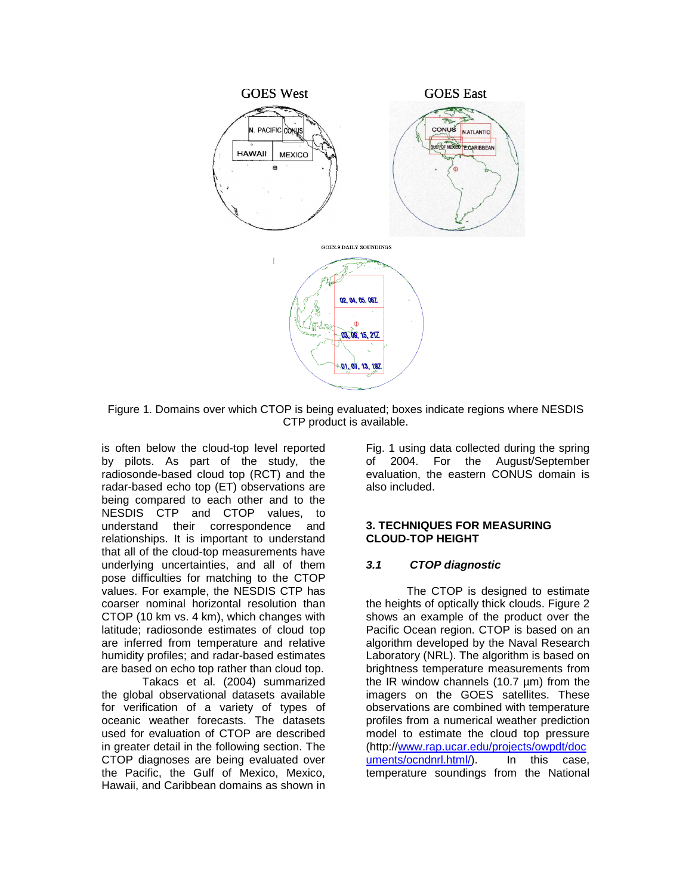

Figure 1. Domains over which CTOP is being evaluated; boxes indicate regions where NESDIS CTP product is available.

is often below the cloud-top level reported by pilots. As part of the study, the radiosonde-based cloud top (RCT) and the radar-based echo top (ET) observations are being compared to each other and to the NESDIS CTP and CTOP values, to understand their correspondence and relationships. It is important to understand that all of the cloud-top measurements have underlying uncertainties, and all of them pose difficulties for matching to the CTOP values. For example, the NESDIS CTP has coarser nominal horizontal resolution than CTOP (10 km vs. 4 km), which changes with latitude; radiosonde estimates of cloud top are inferred from temperature and relative humidity profiles; and radar-based estimates are based on echo top rather than cloud top.

 Takacs et al. (2004) summarized the global observational datasets available for verification of a variety of types of oceanic weather forecasts. The datasets used for evaluation of CTOP are described in greater detail in the following section. The CTOP diagnoses are being evaluated over the Pacific, the Gulf of Mexico, Mexico, Hawaii, and Caribbean domains as shown in

Fig. 1 using data collected during the spring of 2004. For the August/September evaluation, the eastern CONUS domain is also included.

### **3. TECHNIQUES FOR MEASURING CLOUD-TOP HEIGHT**

## *3.1 CTOP diagnostic*

 The CTOP is designed to estimate the heights of optically thick clouds. Figure 2 shows an example of the product over the Pacific Ocean region. CTOP is based on an algorithm developed by the Naval Research Laboratory (NRL). The algorithm is based on brightness temperature measurements from the IR window channels (10.7 µm) from the imagers on the GOES satellites. These observations are combined with temperature profiles from a numerical weather prediction model to estimate the cloud top pressure (http://www.rap.ucar.edu/projects/owpdt/doc uments/ocndnrl.html/). In this case, temperature soundings from the National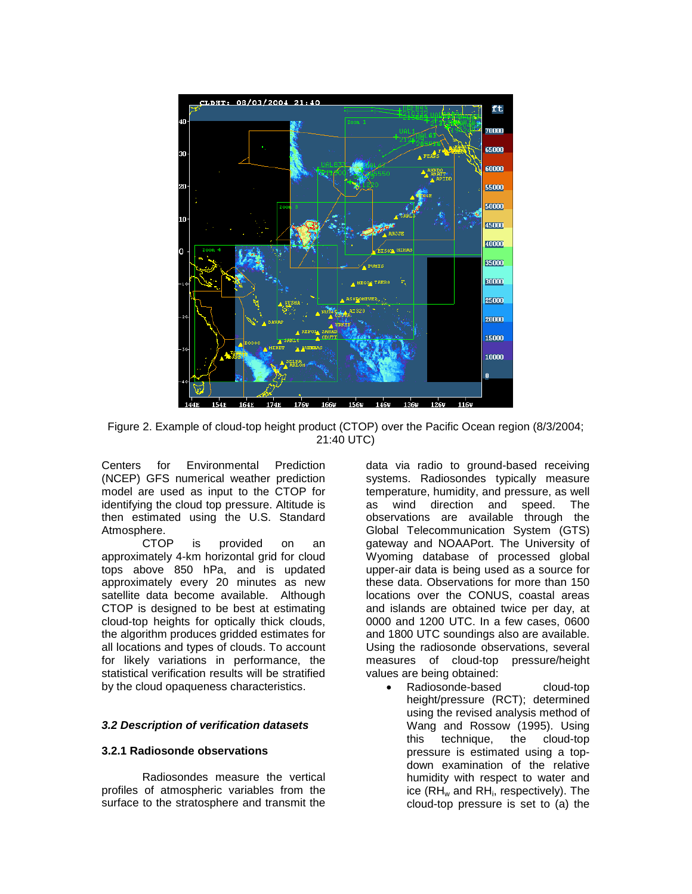

Figure 2. Example of cloud-top height product (CTOP) over the Pacific Ocean region (8/3/2004; 21:40 UTC)

Centers for Environmental Prediction (NCEP) GFS numerical weather prediction model are used as input to the CTOP for identifying the cloud top pressure. Altitude is then estimated using the U.S. Standard

Atmosphere.<br>CTOP is provided on an approximately 4-km horizontal grid for cloud tops above 850 hPa, and is updated approximately every 20 minutes as new satellite data become available. Although CTOP is designed to be best at estimating cloud-top heights for optically thick clouds, the algorithm produces gridded estimates for all locations and types of clouds. To account for likely variations in performance, the statistical verification results will be stratified by the cloud opaqueness characteristics.

#### *3.2 Description of verification datasets*

#### **3.2.1 Radiosonde observations**

 Radiosondes measure the vertical profiles of atmospheric variables from the surface to the stratosphere and transmit the

data via radio to ground-based receiving systems. Radiosondes typically measure temperature, humidity, and pressure, as well as wind direction and speed. The observations are available through the Global Telecommunication System (GTS) gateway and NOAAPort. The University of Wyoming database of processed global upper-air data is being used as a source for these data. Observations for more than 150 locations over the CONUS, coastal areas and islands are obtained twice per day, at 0000 and 1200 UTC. In a few cases, 0600 and 1800 UTC soundings also are available. Using the radiosonde observations, several measures of cloud-top pressure/height values are being obtained:

Radiosonde-based cloud-top height/pressure (RCT); determined using the revised analysis method of Wang and Rossow (1995). Using this technique, the cloud-top pressure is estimated using a topdown examination of the relative humidity with respect to water and ice  $(RH_w$  and  $RH_i$ , respectively). The cloud-top pressure is set to (a) the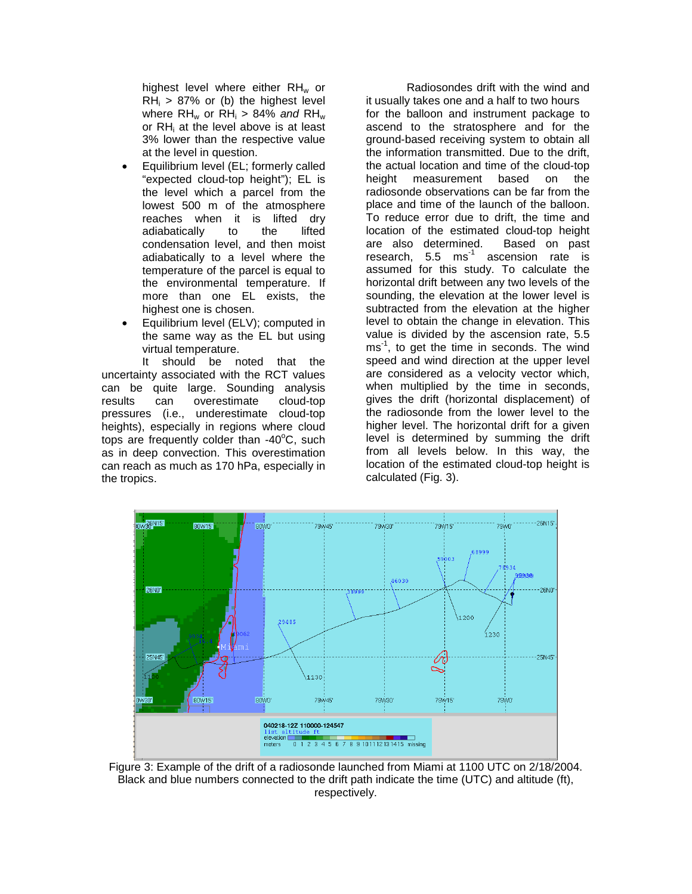highest level where either  $RH_w$  or  $RH_i > 87\%$  or (b) the highest level where RHw or RHi > 84% *and* RHw or RHi at the level above is at least 3% lower than the respective value at the level in question.

- Equilibrium level (EL; formerly called "expected cloud-top height"); EL is the level which a parcel from the lowest 500 m of the atmosphere reaches when it is lifted dry adiabatically to the lifted condensation level, and then moist adiabatically to a level where the temperature of the parcel is equal to the environmental temperature. If more than one EL exists, the highest one is chosen.
- Equilibrium level (ELV); computed in the same way as the EL but using virtual temperature.

 It should be noted that the uncertainty associated with the RCT values can be quite large. Sounding analysis results can overestimate cloud-top pressures (i.e., underestimate cloud-top heights), especially in regions where cloud tops are frequently colder than -40°C, such as in deep convection. This overestimation can reach as much as 170 hPa, especially in the tropics.

 Radiosondes drift with the wind and it usually takes one and a half to two hours for the balloon and instrument package to ascend to the stratosphere and for the ground-based receiving system to obtain all the information transmitted. Due to the drift, the actual location and time of the cloud-top height measurement based on the radiosonde observations can be far from the place and time of the launch of the balloon. To reduce error due to drift, the time and location of the estimated cloud-top height are also determined. Based on past research, 5.5 ms<sup>-1</sup> ascension rate is assumed for this study. To calculate the horizontal drift between any two levels of the sounding, the elevation at the lower level is subtracted from the elevation at the higher level to obtain the change in elevation. This value is divided by the ascension rate, 5.5 ms<sup>-1</sup>, to get the time in seconds. The wind speed and wind direction at the upper level are considered as a velocity vector which, when multiplied by the time in seconds, gives the drift (horizontal displacement) of the radiosonde from the lower level to the higher level. The horizontal drift for a given level is determined by summing the drift from all levels below. In this way, the location of the estimated cloud-top height is calculated (Fig. 3).



Figure 3: Example of the drift of a radiosonde launched from Miami at 1100 UTC on 2/18/2004. Black and blue numbers connected to the drift path indicate the time (UTC) and altitude (ft), respectively.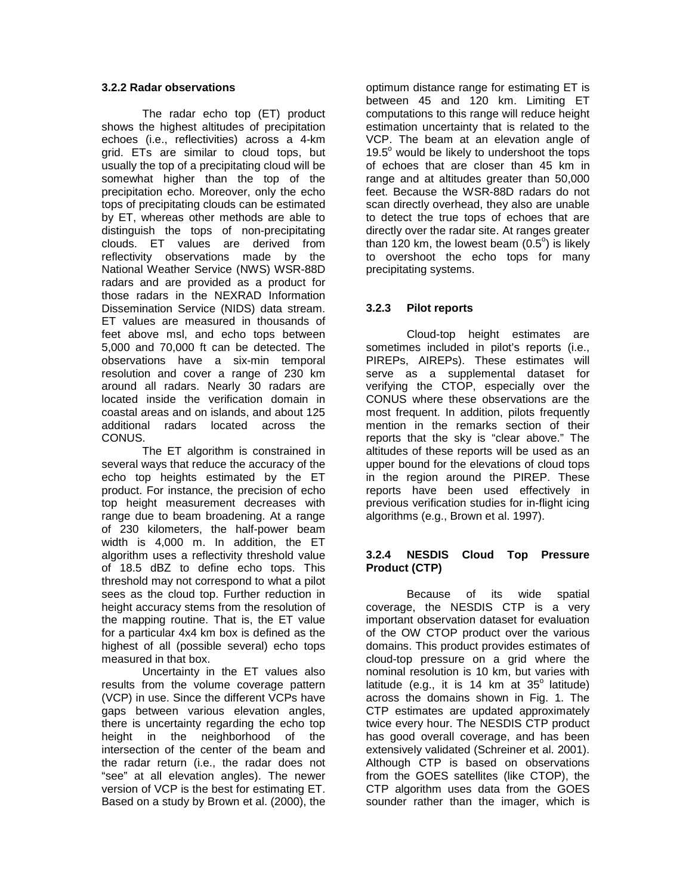## **3.2.2 Radar observations**

The radar echo top (ET) product shows the highest altitudes of precipitation echoes (i.e., reflectivities) across a 4-km grid. ETs are similar to cloud tops, but usually the top of a precipitating cloud will be somewhat higher than the top of the precipitation echo. Moreover, only the echo tops of precipitating clouds can be estimated by ET, whereas other methods are able to distinguish the tops of non-precipitating clouds. ET values are derived from reflectivity observations made by the National Weather Service (NWS) WSR-88D radars and are provided as a product for those radars in the NEXRAD Information Dissemination Service (NIDS) data stream. ET values are measured in thousands of feet above msl, and echo tops between 5,000 and 70,000 ft can be detected. The observations have a six-min temporal resolution and cover a range of 230 km around all radars. Nearly 30 radars are located inside the verification domain in coastal areas and on islands, and about 125 additional radars located across the CONUS.

 The ET algorithm is constrained in several ways that reduce the accuracy of the echo top heights estimated by the ET product. For instance, the precision of echo top height measurement decreases with range due to beam broadening. At a range of 230 kilometers, the half-power beam width is 4,000 m. In addition, the ET algorithm uses a reflectivity threshold value of 18.5 dBZ to define echo tops. This threshold may not correspond to what a pilot sees as the cloud top. Further reduction in height accuracy stems from the resolution of the mapping routine. That is, the ET value for a particular 4x4 km box is defined as the highest of all (possible several) echo tops measured in that box.

 Uncertainty in the ET values also results from the volume coverage pattern (VCP) in use. Since the different VCPs have gaps between various elevation angles, there is uncertainty regarding the echo top height in the neighborhood of the intersection of the center of the beam and the radar return (i.e., the radar does not "see" at all elevation angles). The newer version of VCP is the best for estimating ET. Based on a study by Brown et al. (2000), the

optimum distance range for estimating ET is between 45 and 120 km. Limiting ET computations to this range will reduce height estimation uncertainty that is related to the VCP. The beam at an elevation angle of 19.5° would be likely to undershoot the tops of echoes that are closer than 45 km in range and at altitudes greater than 50,000 feet. Because the WSR-88D radars do not scan directly overhead, they also are unable to detect the true tops of echoes that are directly over the radar site. At ranges greater than 120 km, the lowest beam  $(0.5^{\circ})$  is likely to overshoot the echo tops for many precipitating systems.

# **3.2.3 Pilot reports**

 Cloud-top height estimates are sometimes included in pilot's reports (i.e., PIREPs, AIREPs). These estimates will serve as a supplemental dataset for verifying the CTOP, especially over the CONUS where these observations are the most frequent. In addition, pilots frequently mention in the remarks section of their reports that the sky is "clear above." The altitudes of these reports will be used as an upper bound for the elevations of cloud tops in the region around the PIREP. These reports have been used effectively in previous verification studies for in-flight icing algorithms (e.g., Brown et al. 1997).

## **3.2.4 NESDIS Cloud Top Pressure Product (CTP)**

 Because of its wide spatial coverage, the NESDIS CTP is a very important observation dataset for evaluation of the OW CTOP product over the various domains. This product provides estimates of cloud-top pressure on a grid where the nominal resolution is 10 km, but varies with latitude (e.g., it is 14 km at  $35^\circ$  latitude) across the domains shown in Fig. 1. The CTP estimates are updated approximately twice every hour. The NESDIS CTP product has good overall coverage, and has been extensively validated (Schreiner et al. 2001). Although CTP is based on observations from the GOES satellites (like CTOP), the CTP algorithm uses data from the GOES sounder rather than the imager, which is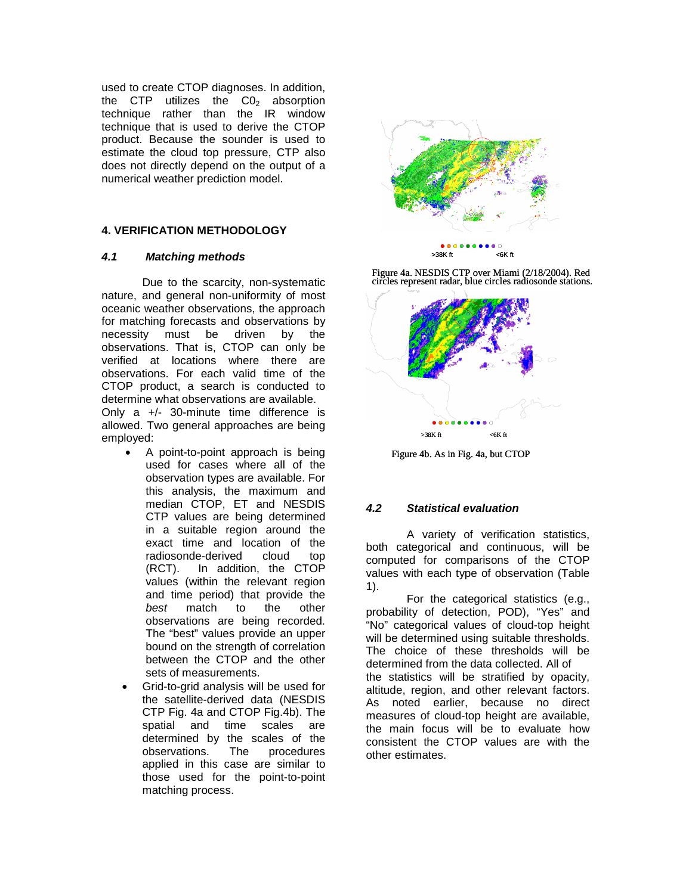used to create CTOP diagnoses. In addition, the CTP utilizes the  $CO<sub>2</sub>$  absorption technique rather than the IR window technique that is used to derive the CTOP product. Because the sounder is used to estimate the cloud top pressure, CTP also does not directly depend on the output of a numerical weather prediction model.

# **4. VERIFICATION METHODOLOGY**

### *4.1 Matching methods*

 Due to the scarcity, non-systematic nature, and general non-uniformity of most oceanic weather observations, the approach for matching forecasts and observations by necessity must be driven by the observations. That is, CTOP can only be verified at locations where there are observations. For each valid time of the CTOP product, a search is conducted to determine what observations are available.

Only a +/- 30-minute time difference is allowed. Two general approaches are being employed:

- A point-to-point approach is being used for cases where all of the observation types are available. For this analysis, the maximum and median CTOP, ET and NESDIS CTP values are being determined in a suitable region around the exact time and location of the radiosonde-derived cloud top (RCT). In addition, the CTOP values (within the relevant region and time period) that provide the<br>best match to the other *best* match to the other observations are being recorded. The "best" values provide an upper bound on the strength of correlation between the CTOP and the other sets of measurements.
- Grid-to-grid analysis will be used for the satellite-derived data (NESDIS CTP Fig. 4a and CTOP Fig.4b). The spatial and time scales are determined by the scales of the observations. The procedures applied in this case are similar to those used for the point-to-point matching process.



Figure 4a. NESDIS CTP over Miami (2/18/2004). Red circles represent radar, blue circles radiosonde stations.



Figure 4b. As in Fig. 4a, but CTOP

## *4.2 Statistical evaluation*

 A variety of verification statistics, both categorical and continuous, will be computed for comparisons of the CTOP values with each type of observation (Table 1).

 For the categorical statistics (e.g., probability of detection, POD), "Yes" and "No" categorical values of cloud-top height will be determined using suitable thresholds. The choice of these thresholds will be determined from the data collected. All of the statistics will be stratified by opacity, altitude, region, and other relevant factors. As noted earlier, because no direct measures of cloud-top height are available, the main focus will be to evaluate how consistent the CTOP values are with the other estimates.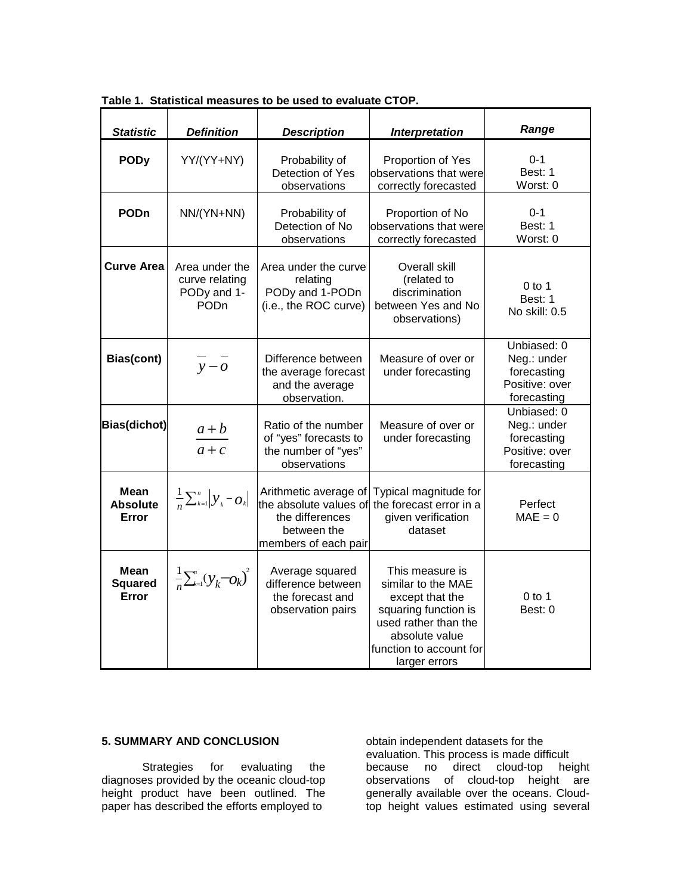| <b>Statistic</b>                        | <b>Definition</b>                                                   | <b>Description</b>                                                                                        | <b>Interpretation</b>                                                                                                                                                  | Range                                                                      |
|-----------------------------------------|---------------------------------------------------------------------|-----------------------------------------------------------------------------------------------------------|------------------------------------------------------------------------------------------------------------------------------------------------------------------------|----------------------------------------------------------------------------|
| <b>PODy</b>                             | YY/(YY+NY)                                                          | Probability of<br>Detection of Yes<br>observations                                                        | Proportion of Yes<br>observations that were<br>correctly forecasted                                                                                                    | $0 - 1$<br>Best: 1<br>Worst: 0                                             |
| <b>PODn</b>                             | NN/(YN+NN)                                                          | Probability of<br>Detection of No<br>observations                                                         | Proportion of No<br>observations that were<br>correctly forecasted                                                                                                     | $0 - 1$<br>Best: 1<br>Worst: 0                                             |
| <b>Curve Area</b>                       | Area under the<br>curve relating<br>PODy and 1-<br>PO <sub>Dn</sub> | Area under the curve<br>relating<br>PODy and 1-PODn<br>(i.e., the ROC curve)                              | Overall skill<br>(related to<br>discrimination<br>between Yes and No<br>observations)                                                                                  | $0$ to 1<br>Best: 1<br>No skill: 0.5                                       |
| Bias(cont)                              | $y - o$                                                             | Difference between<br>the average forecast<br>and the average<br>observation.                             | Measure of over or<br>under forecasting                                                                                                                                | Unbiased: 0<br>Neg.: under<br>forecasting<br>Positive: over<br>forecasting |
| Bias(dichot)                            | $a + b$<br>$a + c$                                                  | Ratio of the number<br>of "yes" forecasts to<br>the number of "yes"<br>observations                       | Measure of over or<br>under forecasting                                                                                                                                | Unbiased: 0<br>Neg.: under<br>forecasting<br>Positive: over<br>forecasting |
| <b>Mean</b><br><b>Absolute</b><br>Error | $\frac{1}{n}\sum_{k=1}^n \left  y_k - o_k \right $                  | Arithmetic average of<br>the absolute values of<br>the differences<br>between the<br>members of each pair | Typical magnitude for<br>the forecast error in a<br>given verification<br>dataset                                                                                      | Perfect<br>$MAE = 0$                                                       |
| <b>Mean</b><br><b>Squared</b><br>Error  | $\frac{1}{n} \sum_{k=1}^{n} (y_k - o_k)^2$                          | Average squared<br>difference between<br>the forecast and<br>observation pairs                            | This measure is<br>similar to the MAE<br>except that the<br>squaring function is<br>used rather than the<br>absolute value<br>function to account for<br>larger errors | $0$ to 1<br>Best: 0                                                        |

**Table 1. Statistical measures to be used to evaluate CTOP.** 

# **5. SUMMARY AND CONCLUSION**

 Strategies for evaluating the diagnoses provided by the oceanic cloud-top height product have been outlined. The paper has described the efforts employed to

obtain independent datasets for the evaluation. This process is made difficult because no direct cloud-top height observations of cloud-top height are generally available over the oceans. Cloudtop height values estimated using several